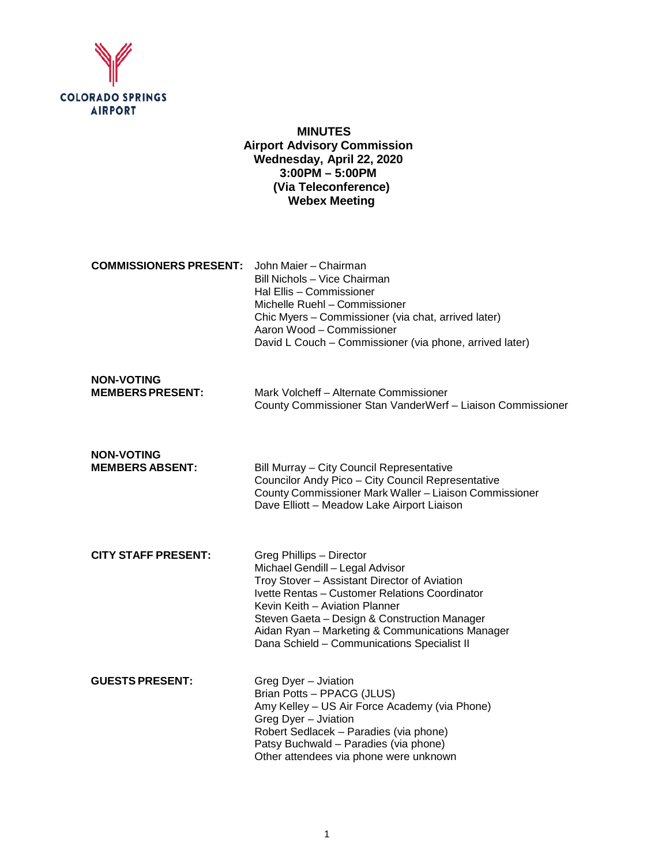

# **MINUTES Airport Advisory Commission Wednesday, April 22, 2020 3:00PM – 5:00PM (Via Teleconference) Webex Meeting**

| <b>COMMISSIONERS PRESENT:</b> John Maier – Chairman |                                                         |
|-----------------------------------------------------|---------------------------------------------------------|
|                                                     | Bill Nichols - Vice Chairman                            |
|                                                     | Hal Ellis - Commissioner                                |
|                                                     | Michelle Ruehl - Commissioner                           |
|                                                     | Chic Myers - Commissioner (via chat, arrived later)     |
|                                                     | Aaron Wood – Commissioner                               |
|                                                     | David L Couch – Commissioner (via phone, arrived later) |

| <b>NON-VOTING</b>      |                                                            |
|------------------------|------------------------------------------------------------|
| <b>MEMBERSPRESENT:</b> | Mark Volcheff - Alternate Commissioner                     |
|                        | County Commissioner Stan VanderWerf - Liaison Commissioner |

**NON-VOTING Bill Murray – City Council Representative** Councilor Andy Pico – City Council Representative County Commissioner Mark Waller – Liaison Commissioner Dave Elliott – Meadow Lake Airport Liaison

| <b>CITY STAFF PRESENT:</b> | Greg Phillips - Director                        |
|----------------------------|-------------------------------------------------|
|                            | Michael Gendill - Legal Advisor                 |
|                            | Troy Stover - Assistant Director of Aviation    |
|                            | Ivette Rentas - Customer Relations Coordinator  |
|                            | Kevin Keith - Aviation Planner                  |
|                            | Steven Gaeta - Design & Construction Manager    |
|                            | Aidan Ryan - Marketing & Communications Manager |
|                            | Dana Schield - Communications Specialist II     |
|                            |                                                 |

| <b>GUESTS PRESENT:</b> | Greg Dyer - Jviation                          |
|------------------------|-----------------------------------------------|
|                        | Brian Potts - PPACG (JLUS)                    |
|                        | Amy Kelley - US Air Force Academy (via Phone) |
|                        | Greg Dyer - Jviation                          |
|                        | Robert Sedlacek - Paradies (via phone)        |
|                        | Patsy Buchwald – Paradies (via phone)         |
|                        | Other attendees via phone were unknown        |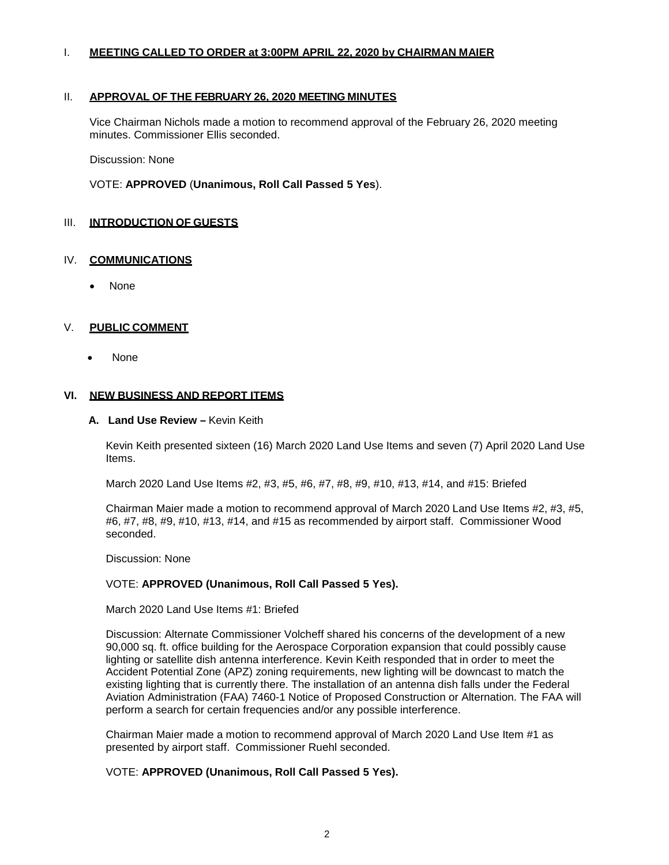#### I. **MEETING CALLED TO ORDER at 3:00PM APRIL 22, 2020 by CHAIRMAN MAIER**

#### II. **APPROVAL OF THE FEBRUARY 26, 2020 MEETING MINUTES**

Vice Chairman Nichols made a motion to recommend approval of the February 26, 2020 meeting minutes. Commissioner Ellis seconded.

Discussion: None

VOTE: **APPROVED** (**Unanimous, Roll Call Passed 5 Yes**).

## III. **INTRODUCTION OF GUESTS**

## IV. **COMMUNICATIONS**

• None

#### V. **PUBLIC COMMENT**

• None

#### **VI. NEW BUSINESS AND REPORT ITEMS**

#### **A. Land Use Review –** Kevin Keith

Kevin Keith presented sixteen (16) March 2020 Land Use Items and seven (7) April 2020 Land Use Items.

March 2020 Land Use Items #2, #3, #5, #6, #7, #8, #9, #10, #13, #14, and #15: Briefed

Chairman Maier made a motion to recommend approval of March 2020 Land Use Items #2, #3, #5, #6, #7, #8, #9, #10, #13, #14, and #15 as recommended by airport staff. Commissioner Wood seconded.

Discussion: None

#### VOTE: **APPROVED (Unanimous, Roll Call Passed 5 Yes).**

March 2020 Land Use Items #1: Briefed

Discussion: Alternate Commissioner Volcheff shared his concerns of the development of a new 90,000 sq. ft. office building for the Aerospace Corporation expansion that could possibly cause lighting or satellite dish antenna interference. Kevin Keith responded that in order to meet the Accident Potential Zone (APZ) zoning requirements, new lighting will be downcast to match the existing lighting that is currently there. The installation of an antenna dish falls under the Federal Aviation Administration (FAA) 7460-1 Notice of Proposed Construction or Alternation. The FAA will perform a search for certain frequencies and/or any possible interference.

Chairman Maier made a motion to recommend approval of March 2020 Land Use Item #1 as presented by airport staff. Commissioner Ruehl seconded.

## VOTE: **APPROVED (Unanimous, Roll Call Passed 5 Yes).**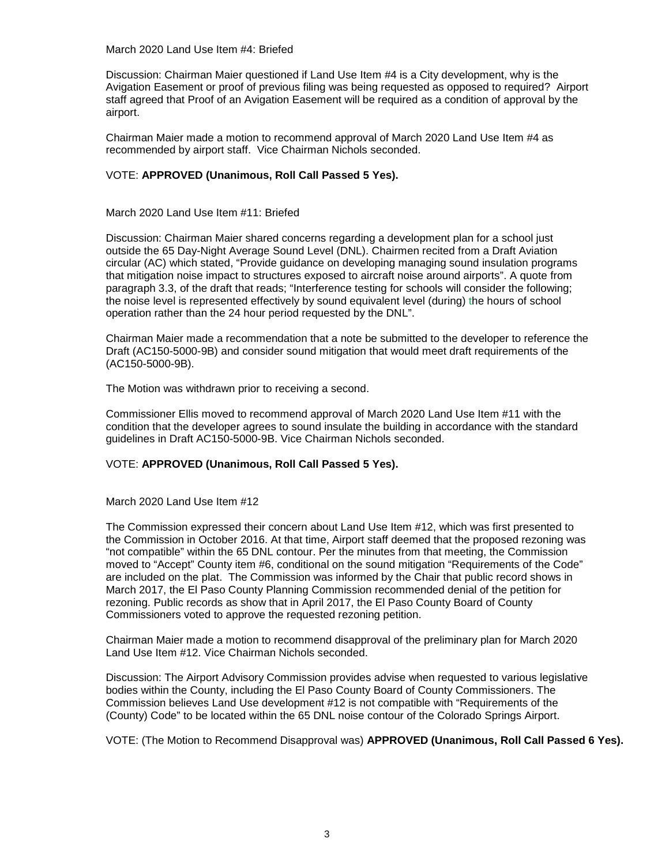March 2020 Land Use Item #4: Briefed

Discussion: Chairman Maier questioned if Land Use Item #4 is a City development, why is the Avigation Easement or proof of previous filing was being requested as opposed to required? Airport staff agreed that Proof of an Avigation Easement will be required as a condition of approval by the airport.

Chairman Maier made a motion to recommend approval of March 2020 Land Use Item #4 as recommended by airport staff. Vice Chairman Nichols seconded.

## VOTE: **APPROVED (Unanimous, Roll Call Passed 5 Yes).**

March 2020 Land Use Item #11: Briefed

Discussion: Chairman Maier shared concerns regarding a development plan for a school just outside the 65 Day-Night Average Sound Level (DNL). Chairmen recited from a Draft Aviation circular (AC) which stated, "Provide guidance on developing managing sound insulation programs that mitigation noise impact to structures exposed to aircraft noise around airports". A quote from paragraph 3.3, of the draft that reads; "Interference testing for schools will consider the following; the noise level is represented effectively by sound equivalent level (during) the hours of school operation rather than the 24 hour period requested by the DNL".

Chairman Maier made a recommendation that a note be submitted to the developer to reference the Draft (AC150-5000-9B) and consider sound mitigation that would meet draft requirements of the (AC150-5000-9B).

The Motion was withdrawn prior to receiving a second.

Commissioner Ellis moved to recommend approval of March 2020 Land Use Item #11 with the condition that the developer agrees to sound insulate the building in accordance with the standard guidelines in Draft AC150-5000-9B. Vice Chairman Nichols seconded.

## VOTE: **APPROVED (Unanimous, Roll Call Passed 5 Yes).**

March 2020 Land Use Item #12

The Commission expressed their concern about Land Use Item #12, which was first presented to the Commission in October 2016. At that time, Airport staff deemed that the proposed rezoning was "not compatible" within the 65 DNL contour. Per the minutes from that meeting, the Commission moved to "Accept" County item #6, conditional on the sound mitigation "Requirements of the Code" are included on the plat. The Commission was informed by the Chair that public record shows in March 2017, the El Paso County Planning Commission recommended denial of the petition for rezoning. Public records as show that in April 2017, the El Paso County Board of County Commissioners voted to approve the requested rezoning petition.

Chairman Maier made a motion to recommend disapproval of the preliminary plan for March 2020 Land Use Item #12. Vice Chairman Nichols seconded.

Discussion: The Airport Advisory Commission provides advise when requested to various legislative bodies within the County, including the El Paso County Board of County Commissioners. The Commission believes Land Use development #12 is not compatible with "Requirements of the (County) Code" to be located within the 65 DNL noise contour of the Colorado Springs Airport.

VOTE: (The Motion to Recommend Disapproval was) **APPROVED (Unanimous, Roll Call Passed 6 Yes).**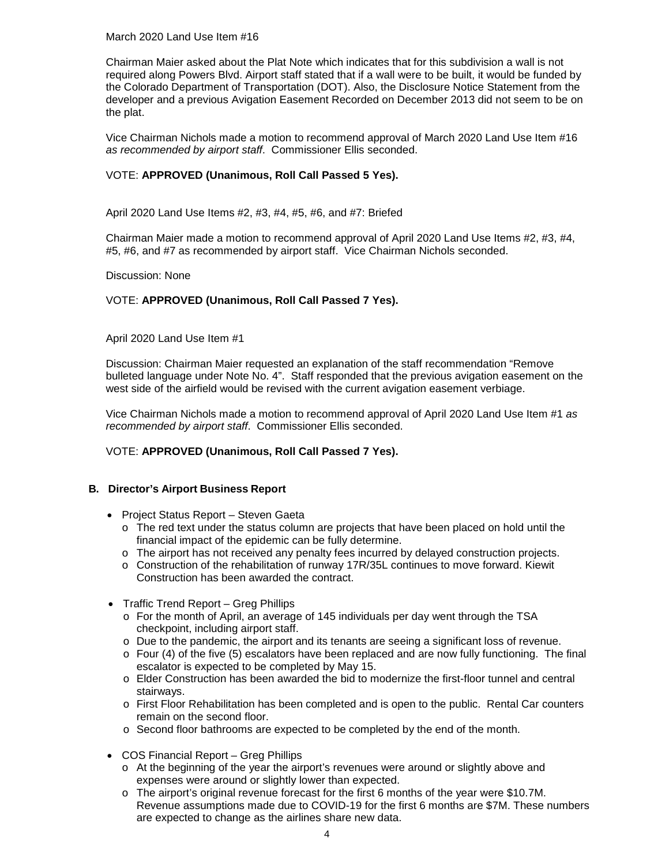March 2020 Land Use Item #16

Chairman Maier asked about the Plat Note which indicates that for this subdivision a wall is not required along Powers Blvd. Airport staff stated that if a wall were to be built, it would be funded by the Colorado Department of Transportation (DOT). Also, the Disclosure Notice Statement from the developer and a previous Avigation Easement Recorded on December 2013 did not seem to be on the plat.

Vice Chairman Nichols made a motion to recommend approval of March 2020 Land Use Item #16 *as recommended by airport staff*. Commissioner Ellis seconded.

## VOTE: **APPROVED (Unanimous, Roll Call Passed 5 Yes).**

April 2020 Land Use Items #2, #3, #4, #5, #6, and #7: Briefed

Chairman Maier made a motion to recommend approval of April 2020 Land Use Items #2, #3, #4, #5, #6, and #7 as recommended by airport staff. Vice Chairman Nichols seconded.

#### Discussion: None

## VOTE: **APPROVED (Unanimous, Roll Call Passed 7 Yes).**

April 2020 Land Use Item #1

Discussion: Chairman Maier requested an explanation of the staff recommendation "Remove bulleted language under Note No. 4". Staff responded that the previous avigation easement on the west side of the airfield would be revised with the current avigation easement verbiage.

Vice Chairman Nichols made a motion to recommend approval of April 2020 Land Use Item #1 *as recommended by airport staff*. Commissioner Ellis seconded.

## VOTE: **APPROVED (Unanimous, Roll Call Passed 7 Yes).**

## **B. Director's Airport Business Report**

- Project Status Report Steven Gaeta
	- $\circ$  The red text under the status column are projects that have been placed on hold until the financial impact of the epidemic can be fully determine.
	- o The airport has not received any penalty fees incurred by delayed construction projects.
	- o Construction of the rehabilitation of runway 17R/35L continues to move forward. Kiewit Construction has been awarded the contract.
- Traffic Trend Report Greg Phillips
	- $\circ$  For the month of April, an average of 145 individuals per day went through the TSA checkpoint, including airport staff.
	- o Due to the pandemic, the airport and its tenants are seeing a significant loss of revenue.
	- $\circ$  Four (4) of the five (5) escalators have been replaced and are now fully functioning. The final escalator is expected to be completed by May 15.
	- o Elder Construction has been awarded the bid to modernize the first-floor tunnel and central stairways.
	- o First Floor Rehabilitation has been completed and is open to the public. Rental Car counters remain on the second floor.
	- $\circ$  Second floor bathrooms are expected to be completed by the end of the month.
- COS Financial Report Greg Phillips
	- o At the beginning of the year the airport's revenues were around or slightly above and expenses were around or slightly lower than expected.
	- o The airport's original revenue forecast for the first 6 months of the year were \$10.7M. Revenue assumptions made due to COVID-19 for the first 6 months are \$7M. These numbers are expected to change as the airlines share new data.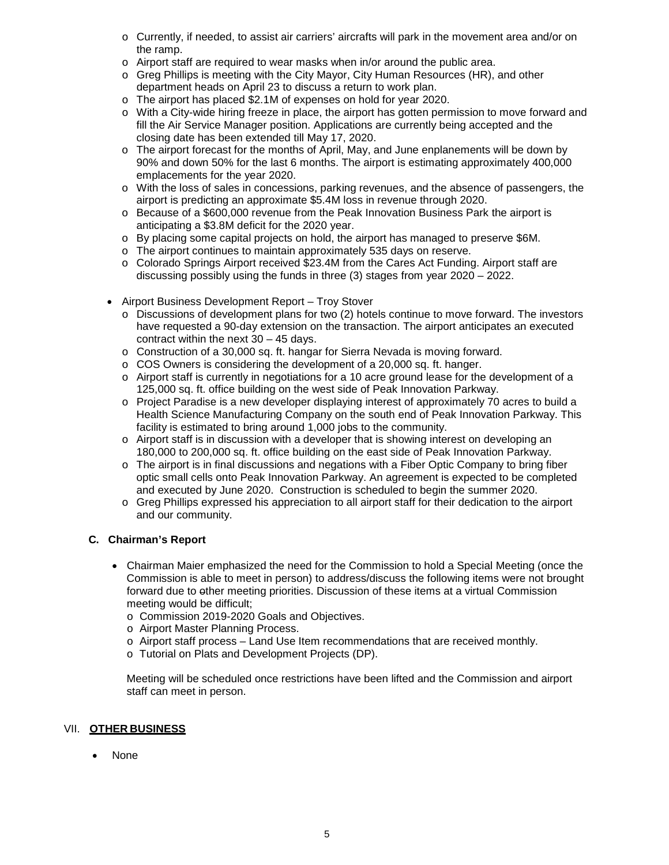- o Currently, if needed, to assist air carriers' aircrafts will park in the movement area and/or on the ramp.
- o Airport staff are required to wear masks when in/or around the public area.
- o Greg Phillips is meeting with the City Mayor, City Human Resources (HR), and other department heads on April 23 to discuss a return to work plan.
- o The airport has placed \$2.1M of expenses on hold for year 2020.
- o With a City-wide hiring freeze in place, the airport has gotten permission to move forward and fill the Air Service Manager position. Applications are currently being accepted and the closing date has been extended till May 17, 2020.
- o The airport forecast for the months of April, May, and June enplanements will be down by 90% and down 50% for the last 6 months. The airport is estimating approximately 400,000 emplacements for the year 2020.
- o With the loss of sales in concessions, parking revenues, and the absence of passengers, the airport is predicting an approximate \$5.4M loss in revenue through 2020.
- o Because of a \$600,000 revenue from the Peak Innovation Business Park the airport is anticipating a \$3.8M deficit for the 2020 year.
- o By placing some capital projects on hold, the airport has managed to preserve \$6M.
- o The airport continues to maintain approximately 535 days on reserve.
- o Colorado Springs Airport received \$23.4M from the Cares Act Funding. Airport staff are discussing possibly using the funds in three (3) stages from year 2020 – 2022.
- Airport Business Development Report Troy Stover
	- o Discussions of development plans for two (2) hotels continue to move forward. The investors have requested a 90-day extension on the transaction. The airport anticipates an executed contract within the next 30 – 45 days.
	- o Construction of a 30,000 sq. ft. hangar for Sierra Nevada is moving forward.
	- o COS Owners is considering the development of a 20,000 sq. ft. hanger.
	- $\circ$  Airport staff is currently in negotiations for a 10 acre ground lease for the development of a 125,000 sq. ft. office building on the west side of Peak Innovation Parkway.
	- o Project Paradise is a new developer displaying interest of approximately 70 acres to build a Health Science Manufacturing Company on the south end of Peak Innovation Parkway. This facility is estimated to bring around 1,000 jobs to the community.
	- o Airport staff is in discussion with a developer that is showing interest on developing an 180,000 to 200,000 sq. ft. office building on the east side of Peak Innovation Parkway.
	- $\circ$  The airport is in final discussions and negations with a Fiber Optic Company to bring fiber optic small cells onto Peak Innovation Parkway. An agreement is expected to be completed and executed by June 2020. Construction is scheduled to begin the summer 2020.
	- o Greg Phillips expressed his appreciation to all airport staff for their dedication to the airport and our community.

## **C. Chairman's Report**

- Chairman Maier emphasized the need for the Commission to hold a Special Meeting (once the Commission is able to meet in person) to address/discuss the following items were not brought forward due to other meeting priorities. Discussion of these items at a virtual Commission meeting would be difficult;
	- o Commission 2019-2020 Goals and Objectives.
	- o Airport Master Planning Process.
	- o Airport staff process Land Use Item recommendations that are received monthly.
	- o Tutorial on Plats and Development Projects (DP).

Meeting will be scheduled once restrictions have been lifted and the Commission and airport staff can meet in person.

## VII. **OTHER BUSINESS**

• None